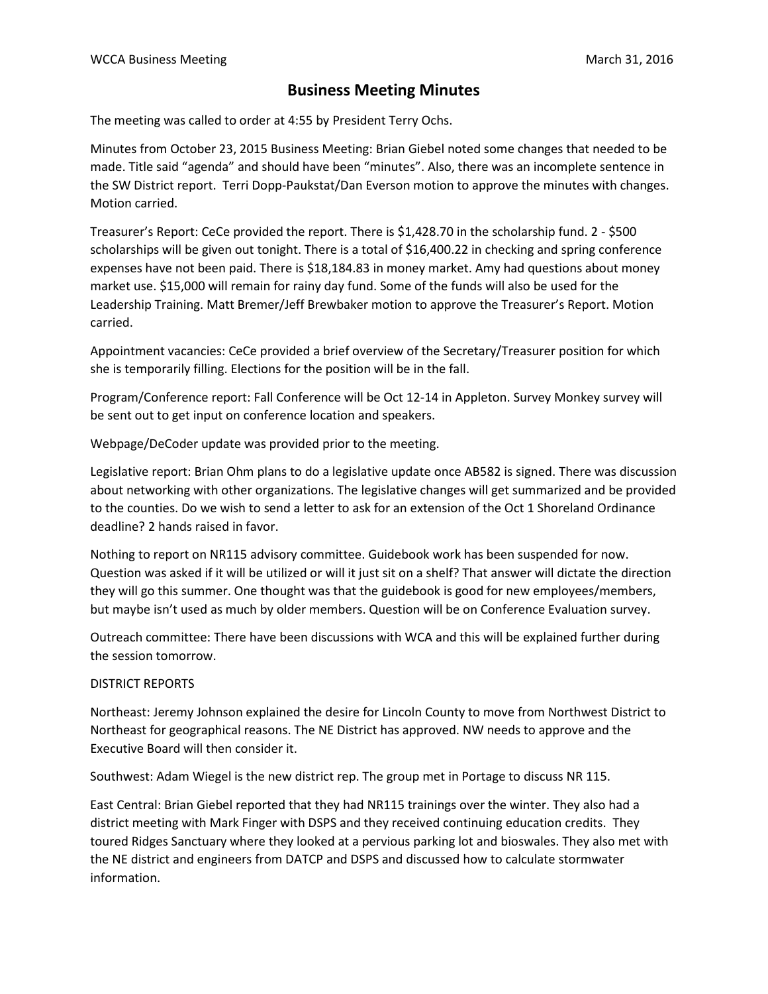## **Business Meeting Minutes**

The meeting was called to order at 4:55 by President Terry Ochs.

Minutes from October 23, 2015 Business Meeting: Brian Giebel noted some changes that needed to be made. Title said "agenda" and should have been "minutes". Also, there was an incomplete sentence in the SW District report. Terri Dopp-Paukstat/Dan Everson motion to approve the minutes with changes. Motion carried.

Treasurer's Report: CeCe provided the report. There is \$1,428.70 in the scholarship fund. 2 - \$500 scholarships will be given out tonight. There is a total of \$16,400.22 in checking and spring conference expenses have not been paid. There is \$18,184.83 in money market. Amy had questions about money market use. \$15,000 will remain for rainy day fund. Some of the funds will also be used for the Leadership Training. Matt Bremer/Jeff Brewbaker motion to approve the Treasurer's Report. Motion carried.

Appointment vacancies: CeCe provided a brief overview of the Secretary/Treasurer position for which she is temporarily filling. Elections for the position will be in the fall.

Program/Conference report: Fall Conference will be Oct 12-14 in Appleton. Survey Monkey survey will be sent out to get input on conference location and speakers.

Webpage/DeCoder update was provided prior to the meeting.

Legislative report: Brian Ohm plans to do a legislative update once AB582 is signed. There was discussion about networking with other organizations. The legislative changes will get summarized and be provided to the counties. Do we wish to send a letter to ask for an extension of the Oct 1 Shoreland Ordinance deadline? 2 hands raised in favor.

Nothing to report on NR115 advisory committee. Guidebook work has been suspended for now. Question was asked if it will be utilized or will it just sit on a shelf? That answer will dictate the direction they will go this summer. One thought was that the guidebook is good for new employees/members, but maybe isn't used as much by older members. Question will be on Conference Evaluation survey.

Outreach committee: There have been discussions with WCA and this will be explained further during the session tomorrow.

## DISTRICT REPORTS

Northeast: Jeremy Johnson explained the desire for Lincoln County to move from Northwest District to Northeast for geographical reasons. The NE District has approved. NW needs to approve and the Executive Board will then consider it.

Southwest: Adam Wiegel is the new district rep. The group met in Portage to discuss NR 115.

East Central: Brian Giebel reported that they had NR115 trainings over the winter. They also had a district meeting with Mark Finger with DSPS and they received continuing education credits. They toured Ridges Sanctuary where they looked at a pervious parking lot and bioswales. They also met with the NE district and engineers from DATCP and DSPS and discussed how to calculate stormwater information.